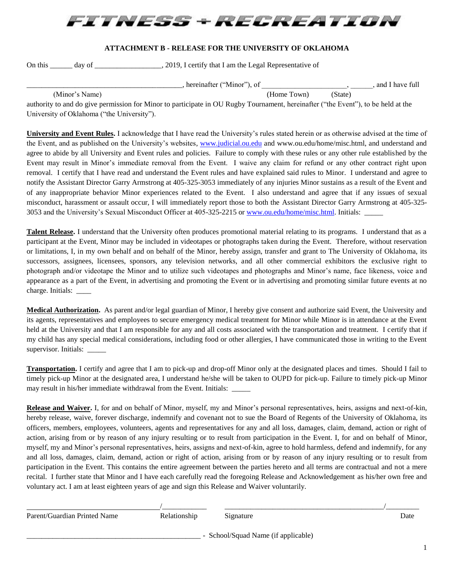

## **ATTACHMENT B - RELEASE FOR THE UNIVERSITY OF OKLAHOMA**

On this \_\_\_\_\_\_ day of \_\_\_\_\_\_\_\_\_\_\_\_\_\_\_\_\_\_, 2019, I certify that I am the Legal Representative of

\_\_\_\_\_\_\_\_\_\_\_\_\_\_\_\_\_\_\_\_\_\_\_\_\_\_\_\_\_\_\_\_\_\_\_\_\_\_\_\_\_\_, hereinafter ("Minor"), of \_\_\_\_\_\_\_\_\_\_\_\_\_\_\_\_\_\_\_\_\_\_\_, \_\_\_\_\_\_, and I have full

(Minor's Name) (Home Town) (State)

authority to and do give permission for Minor to participate in OU Rugby Tournament, hereinafter ("the Event"), to be held at the University of Oklahoma ("the University").

**University and Event Rules.** I acknowledge that I have read the University's rules stated herein or as otherwise advised at the time of the Event, and as published on the University's websites, [www.judicial.ou.edu](http://www.judicial.ou.edu/) and www.ou.edu/home/misc.html, and understand and agree to abide by all University and Event rules and policies. Failure to comply with these rules or any other rule established by the Event may result in Minor's immediate removal from the Event. I waive any claim for refund or any other contract right upon removal. I certify that I have read and understand the Event rules and have explained said rules to Minor. I understand and agree to notify the Assistant Director Garry Armstrong at 405-325-3053 immediately of any injuries Minor sustains as a result of the Event and of any inappropriate behavior Minor experiences related to the Event. I also understand and agree that if any issues of sexual misconduct, harassment or assault occur, I will immediately report those to both the Assistant Director Garry Armstrong at 405-325 3053 and the University's Sexual Misconduct Officer at 405-325-2215 o[r www.ou.edu/home/misc.html.](http://www.ou.edu/home/misc.html) Initials:

**Talent Release.** I understand that the University often produces promotional material relating to its programs. I understand that as a participant at the Event, Minor may be included in videotapes or photographs taken during the Event. Therefore, without reservation or limitations, I, in my own behalf and on behalf of the Minor, hereby assign, transfer and grant to The University of Oklahoma, its successors, assignees, licensees, sponsors, any television networks, and all other commercial exhibitors the exclusive right to photograph and/or videotape the Minor and to utilize such videotapes and photographs and Minor's name, face likeness, voice and appearance as a part of the Event, in advertising and promoting the Event or in advertising and promoting similar future events at no charge. Initials: \_\_\_\_

**Medical Authorization.** As parent and/or legal guardian of Minor, I hereby give consent and authorize said Event, the University and its agents, representatives and employees to secure emergency medical treatment for Minor while Minor is in attendance at the Event held at the University and that I am responsible for any and all costs associated with the transportation and treatment. I certify that if my child has any special medical considerations, including food or other allergies, I have communicated those in writing to the Event supervisor. Initials: \_\_\_\_\_

**Transportation.** I certify and agree that I am to pick-up and drop-off Minor only at the designated places and times. Should I fail to timely pick-up Minor at the designated area, I understand he/she will be taken to OUPD for pick-up. Failure to timely pick-up Minor may result in his/her immediate withdrawal from the Event. Initials:

**Release and Waiver.** I, for and on behalf of Minor, myself, my and Minor's personal representatives, heirs, assigns and next-of-kin, hereby release, waive, forever discharge, indemnify and covenant not to sue the Board of Regents of the University of Oklahoma, its officers, members, employees, volunteers, agents and representatives for any and all loss, damages, claim, demand, action or right of action, arising from or by reason of any injury resulting or to result from participation in the Event. I, for and on behalf of Minor, myself, my and Minor's personal representatives, heirs, assigns and next-of-kin, agree to hold harmless, defend and indemnify, for any and all loss, damages, claim, demand, action or right of action, arising from or by reason of any injury resulting or to result from participation in the Event. This contains the entire agreement between the parties hereto and all terms are contractual and not a mere recital. I further state that Minor and I have each carefully read the foregoing Release and Acknowledgement as his/her own free and voluntary act. I am at least eighteen years of age and sign this Release and Waiver voluntarily.

| Parent/Guardian Printed Name | Relationship | Signature                           | Date |
|------------------------------|--------------|-------------------------------------|------|
|                              |              | - School/Squad Name (if applicable) |      |